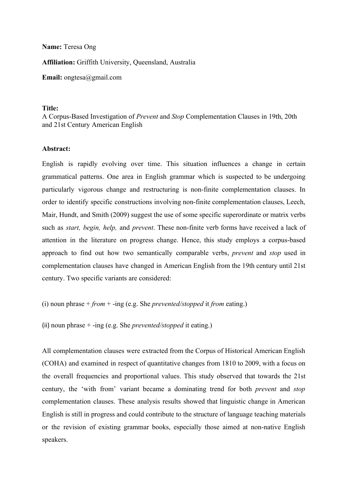## **Name:** Teresa Ong

**Affiliation:** Griffith University, Queensland, Australia

**Email:** ongtesa@gmail.com

## **Title:**

A Corpus-Based Investigation of *Prevent* and *Stop* Complementation Clauses in 19th, 20th and 21st Century American English

## **Abstract:**

English is rapidly evolving over time. This situation influences a change in certain grammatical patterns. One area in English grammar which is suspected to be undergoing particularly vigorous change and restructuring is non-finite complementation clauses. In order to identify specific constructions involving non-finite complementation clauses, Leech, Mair, Hundt, and Smith (2009) suggest the use of some specific superordinate or matrix verbs such as *start, begin, help,* and *prevent*. These non-finite verb forms have received a lack of attention in the literature on progress change. Hence, this study employs a corpus-based approach to find out how two semantically comparable verbs, *prevent* and *stop* used in complementation clauses have changed in American English from the 19th century until 21st century. Two specific variants are considered:

```
(i) noun phrase + from + ing (e.g. She prevented/stopped it from eating.)
```
(ii) noun phrase + ing (e.g. She *prevented/stopped* it eating.)

All complementation clauses were extracted from the Corpus of Historical American English (COHA) and examined in respect of quantitative changes from 1810 to 2009, with a focus on the overall frequencies and proportional values. This study observed that towards the 21st century, the 'with from' variant became a dominating trend for both *prevent* and *stop* complementation clauses. These analysis results showed that linguistic change in American English is still in progress and could contribute to the structure of language teaching materials or the revision of existing grammar books, especially those aimed at non-native English speakers.